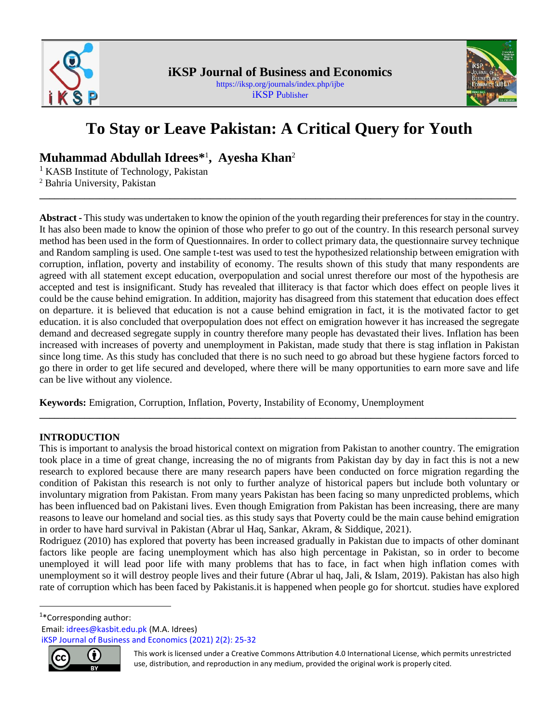



# **To Stay or Leave Pakistan: A Critical Query for Youth**

**\_\_\_\_\_\_\_\_\_\_\_\_\_\_\_\_\_\_\_\_\_\_\_\_\_\_\_\_\_\_\_\_\_\_\_\_\_\_\_\_\_\_\_\_\_\_\_\_\_\_\_\_\_\_\_\_\_\_\_\_\_\_\_\_\_\_\_\_\_\_\_\_\_\_\_\_\_\_\_\_\_\_\_\_\_\_\_\_\_\_\_\_\_\_\_**

**Muhammad Abdullah Idrees\*** 1 **, <sup>1</sup> Ayesha Khan**<sup>2</sup>

<sup>1</sup> KASB Institute of Technology, Pakistan

<sup>2</sup> Bahria University, Pakistan

**Abstract -** This study was undertaken to know the opinion of the youth regarding their preferences for stay in the country. It has also been made to know the opinion of those who prefer to go out of the country. In this research personal survey method has been used in the form of Questionnaires. In order to collect primary data, the questionnaire survey technique and Random sampling is used. One sample t-test was used to test the hypothesized relationship between emigration with corruption, inflation, poverty and instability of economy. The results shown of this study that many respondents are agreed with all statement except education, overpopulation and social unrest therefore our most of the hypothesis are accepted and test is insignificant. Study has revealed that illiteracy is that factor which does effect on people lives it could be the cause behind emigration. In addition, majority has disagreed from this statement that education does effect on departure. it is believed that education is not a cause behind emigration in fact, it is the motivated factor to get education. it is also concluded that overpopulation does not effect on emigration however it has increased the segregate demand and decreased segregate supply in country therefore many people has devastated their lives. Inflation has been increased with increases of poverty and unemployment in Pakistan, made study that there is stag inflation in Pakistan since long time. As this study has concluded that there is no such need to go abroad but these hygiene factors forced to go there in order to get life secured and developed, where there will be many opportunities to earn more save and life can be live without any violence.

**Keywords:** Emigration, Corruption, Inflation, Poverty, Instability of Economy, Unemployment

# **INTRODUCTION**

This is important to analysis the broad historical context on migration from Pakistan to another country. The emigration took place in a time of great change, increasing the no of migrants from Pakistan day by day in fact this is not a new research to explored because there are many research papers have been conducted on force migration regarding the condition of Pakistan this research is not only to further analyze of historical papers but include both voluntary or involuntary migration from Pakistan. From many years Pakistan has been facing so many unpredicted problems, which has been influenced bad on Pakistani lives. Even though Emigration from Pakistan has been increasing, there are many reasons to leave our homeland and social ties. as this study says that Poverty could be the main cause behind emigration in order to have hard survival in Pakistan (Abrar ul Haq, Sankar, Akram, & Siddique, 2021).

**\_\_\_\_\_\_\_\_\_\_\_\_\_\_\_\_\_\_\_\_\_\_\_\_\_\_\_\_\_\_\_\_\_\_\_\_\_\_\_\_\_\_\_\_\_\_\_\_\_\_\_\_\_\_\_\_\_\_\_\_\_\_\_\_\_\_\_\_\_\_\_\_\_\_\_\_\_\_\_\_\_\_\_\_\_\_\_\_\_\_\_\_\_\_\_**

Rodriguez (2010) has explored that poverty has been increased gradually in Pakistan due to impacts of other dominant factors like people are facing unemployment which has also high percentage in Pakistan, so in order to become unemployed it will lead poor life with many problems that has to face, in fact when high inflation comes with unemployment so it will destroy people lives and their future (Abrar ul haq, Jali, & Islam, 2019). Pakistan has also high rate of corruption which has been faced by Pakistanis.it is happened when people go for shortcut. studies have explored

1 \*Corresponding author:

Email: idrees@kasbit.edu.pk (M.A. Idrees)

iKSP Journal of Business and Economics (2021) 2(2): 25-32



This work is licensed under a Creative Commons Attribution 4.0 International License, which permits unrestricted use, distribution, and reproduction in any medium, provided the original work is properly cited.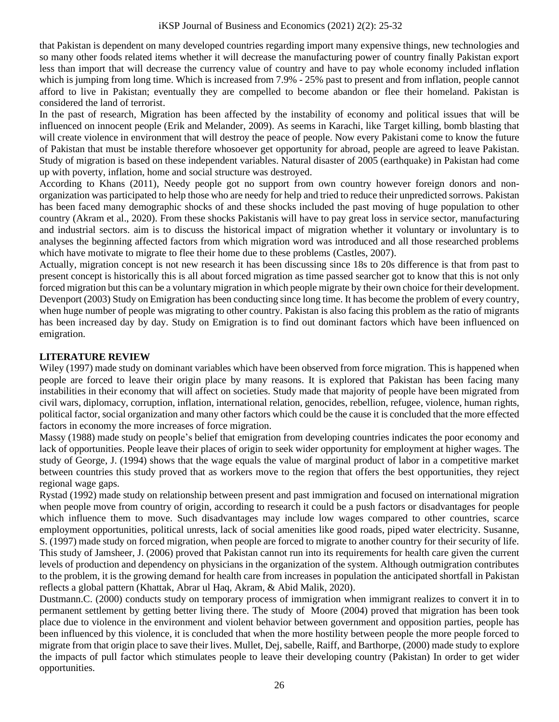that Pakistan is dependent on many developed countries regarding import many expensive things, new technologies and so many other foods related items whether it will decrease the manufacturing power of country finally Pakistan export less than import that will decrease the currency value of country and have to pay whole economy included inflation which is jumping from long time. Which is increased from 7.9% - 25% past to present and from inflation, people cannot afford to live in Pakistan; eventually they are compelled to become abandon or flee their homeland. Pakistan is considered the land of terrorist.

In the past of research, Migration has been affected by the instability of economy and political issues that will be influenced on innocent people (Erik and Melander, 2009). As seems in Karachi, like Target killing, bomb blasting that will create violence in environment that will destroy the peace of people. Now every Pakistani come to know the future of Pakistan that must be instable therefore whosoever get opportunity for abroad, people are agreed to leave Pakistan. Study of migration is based on these independent variables. Natural disaster of 2005 (earthquake) in Pakistan had come up with poverty, inflation, home and social structure was destroyed.

According to Khans (2011), Needy people got no support from own country however foreign donors and nonorganization was participated to help those who are needy for help and tried to reduce their unpredicted sorrows. Pakistan has been faced many demographic shocks of and these shocks included the past moving of huge population to other country (Akram et al., 2020). From these shocks Pakistanis will have to pay great loss in service sector, manufacturing and industrial sectors. aim is to discuss the historical impact of migration whether it voluntary or involuntary is to analyses the beginning affected factors from which migration word was introduced and all those researched problems which have motivate to migrate to flee their home due to these problems (Castles, 2007).

Actually, migration concept is not new research it has been discussing since 18s to 20s difference is that from past to present concept is historically this is all about forced migration as time passed searcher got to know that this is not only forced migration but this can be a voluntary migration in which people migrate by their own choice for their development. Devenport (2003) Study on Emigration has been conducting since long time. It has become the problem of every country, when huge number of people was migrating to other country. Pakistan is also facing this problem as the ratio of migrants has been increased day by day. Study on Emigration is to find out dominant factors which have been influenced on emigration.

# **LITERATURE REVIEW**

Wiley (1997) made study on dominant variables which have been observed from force migration. This is happened when people are forced to leave their origin place by many reasons. It is explored that Pakistan has been facing many instabilities in their economy that will affect on societies. Study made that majority of people have been migrated from civil wars, diplomacy, corruption, inflation, international relation, genocides, rebellion, refugee, violence, human rights, political factor, social organization and many other factors which could be the cause it is concluded that the more effected factors in economy the more increases of force migration.

Massy (1988) made study on people's belief that emigration from developing countries indicates the poor economy and lack of opportunities. People leave their places of origin to seek wider opportunity for employment at higher wages. The study of George, J. (1994) shows that the wage equals the value of marginal product of labor in a competitive market between countries this study proved that as workers move to the region that offers the best opportunities, they reject regional wage gaps.

Rystad (1992) made study on relationship between present and past immigration and focused on international migration when people move from country of origin, according to research it could be a push factors or disadvantages for people which influence them to move. Such disadvantages may include low wages compared to other countries, scarce employment opportunities, political unrests, lack of social amenities like good roads, piped water electricity. Susanne, S. (1997) made study on forced migration, when people are forced to migrate to another country for their security of life. This study of Jamsheer, J. (2006) proved that Pakistan cannot run into its requirements for health care given the current levels of production and dependency on physicians in the organization of the system. Although outmigration contributes to the problem, it is the growing demand for health care from increases in population the anticipated shortfall in Pakistan reflects a global pattern (Khattak, Abrar ul Haq, Akram, & Abid Malik, 2020).

Dustmann.C. (2000) conducts study on temporary process of immigration when immigrant realizes to convert it in to permanent settlement by getting better living there. The study of Moore (2004) proved that migration has been took place due to violence in the environment and violent behavior between government and opposition parties, people has been influenced by this violence, it is concluded that when the more hostility between people the more people forced to migrate from that origin place to save their lives. Mullet, Dej, sabelle, Raiff, and Barthorpe, (2000) made study to explore the impacts of pull factor which stimulates people to leave their developing country (Pakistan) In order to get wider opportunities.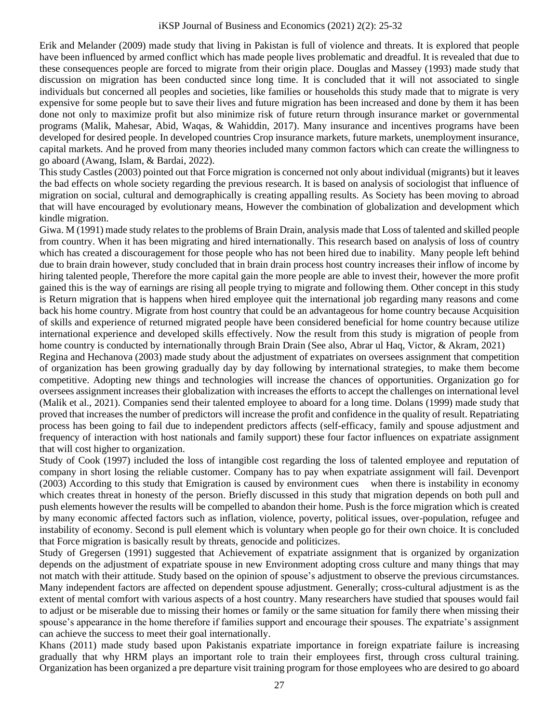Erik and Melander (2009) made study that living in Pakistan is full of violence and threats. It is explored that people have been influenced by armed conflict which has made people lives problematic and dreadful. It is revealed that due to these consequences people are forced to migrate from their origin place. Douglas and Massey (1993) made study that discussion on migration has been conducted since long time. It is concluded that it will not associated to single individuals but concerned all peoples and societies, like families or households this study made that to migrate is very expensive for some people but to save their lives and future migration has been increased and done by them it has been done not only to maximize profit but also minimize risk of future return through insurance market or governmental programs (Malik, Mahesar, Abid, Waqas, & Wahiddin, 2017). Many insurance and incentives programs have been developed for desired people. In developed countries Crop insurance markets, future markets, unemployment insurance, capital markets. And he proved from many theories included many common factors which can create the willingness to go aboard (Awang, Islam, & Bardai, 2022).

This study Castles (2003) pointed out that Force migration is concerned not only about individual (migrants) but it leaves the bad effects on whole society regarding the previous research. It is based on analysis of sociologist that influence of migration on social, cultural and demographically is creating appalling results. As Society has been moving to abroad that will have encouraged by evolutionary means, However the combination of globalization and development which kindle migration.

Giwa. M (1991) made study relates to the problems of Brain Drain, analysis made that Loss of talented and skilled people from country. When it has been migrating and hired internationally. This research based on analysis of loss of country which has created a discouragement for those people who has not been hired due to inability. Many people left behind due to brain drain however, study concluded that in brain drain process host country increases their inflow of income by hiring talented people, Therefore the more capital gain the more people are able to invest their, however the more profit gained this is the way of earnings are rising all people trying to migrate and following them. Other concept in this study is Return migration that is happens when hired employee quit the international job regarding many reasons and come back his home country. Migrate from host country that could be an advantageous for home country because Acquisition of skills and experience of returned migrated people have been considered beneficial for home country because utilize international experience and developed skills effectively. Now the result from this study is migration of people from home country is conducted by internationally through Brain Drain (See also, Abrar ul Haq, Victor, & Akram, 2021)

Regina and Hechanova (2003) made study about the adjustment of expatriates on oversees assignment that competition of organization has been growing gradually day by day following by international strategies, to make them become competitive. Adopting new things and technologies will increase the chances of opportunities. Organization go for oversees assignment increases their globalization with increases the efforts to accept the challenges on international level (Malik et al., 2021). Companies send their talented employee to aboard for a long time. Dolans (1999) made study that proved that increases the number of predictors will increase the profit and confidence in the quality of result. Repatriating process has been going to fail due to independent predictors affects (self-efficacy, family and spouse adjustment and frequency of interaction with host nationals and family support) these four factor influences on expatriate assignment that will cost higher to organization.

Study of Cook (1997) included the loss of intangible cost regarding the loss of talented employee and reputation of company in short losing the reliable customer. Company has to pay when expatriate assignment will fail. Devenport (2003) According to this study that Emigration is caused by environment cues when there is instability in economy which creates threat in honesty of the person. Briefly discussed in this study that migration depends on both pull and push elements however the results will be compelled to abandon their home. Push is the force migration which is created by many economic affected factors such as inflation, violence, poverty, political issues, over-population, refugee and instability of economy. Second is pull element which is voluntary when people go for their own choice. It is concluded that Force migration is basically result by threats, genocide and politicizes.

Study of Gregersen (1991) suggested that Achievement of expatriate assignment that is organized by organization depends on the adjustment of expatriate spouse in new Environment adopting cross culture and many things that may not match with their attitude. Study based on the opinion of spouse's adjustment to observe the previous circumstances. Many independent factors are affected on dependent spouse adjustment. Generally; cross-cultural adjustment is as the extent of mental comfort with various aspects of a host country. Many researchers have studied that spouses would fail to adjust or be miserable due to missing their homes or family or the same situation for family there when missing their spouse's appearance in the home therefore if families support and encourage their spouses. The expatriate's assignment can achieve the success to meet their goal internationally.

Khans (2011) made study based upon Pakistanis expatriate importance in foreign expatriate failure is increasing gradually that why HRM plays an important role to train their employees first, through cross cultural training. Organization has been organized a pre departure visit training program for those employees who are desired to go aboard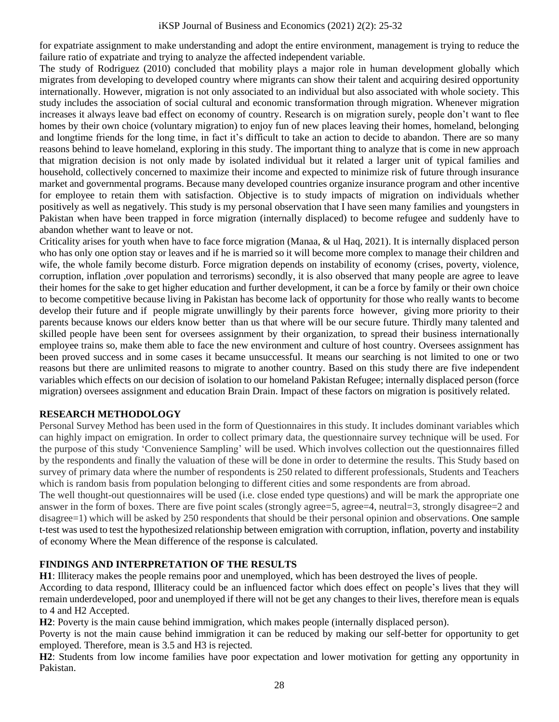#### iKSP Journal of Business and Economics (2021) 2(2): 25-32

for expatriate assignment to make understanding and adopt the entire environment, management is trying to reduce the failure ratio of expatriate and trying to analyze the affected independent variable.

The study of Rodriguez (2010) concluded that mobility plays a major role in human development globally which migrates from developing to developed country where migrants can show their talent and acquiring desired opportunity internationally. However, migration is not only associated to an individual but also associated with whole society. This study includes the association of social cultural and economic transformation through migration. Whenever migration increases it always leave bad effect on economy of country. Research is on migration surely, people don't want to flee homes by their own choice (voluntary migration) to enjoy fun of new places leaving their homes, homeland, belonging and longtime friends for the long time, in fact it's difficult to take an action to decide to abandon. There are so many reasons behind to leave homeland, exploring in this study. The important thing to analyze that is come in new approach that migration decision is not only made by isolated individual but it related a larger unit of typical families and household, collectively concerned to maximize their income and expected to minimize risk of future through insurance market and governmental programs. Because many developed countries organize insurance program and other incentive for employee to retain them with satisfaction. Objective is to study impacts of migration on individuals whether positively as well as negatively. This study is my personal observation that I have seen many families and youngsters in Pakistan when have been trapped in force migration (internally displaced) to become refugee and suddenly have to abandon whether want to leave or not.

Criticality arises for youth when have to face force migration (Manaa, & ul Haq, 2021). It is internally displaced person who has only one option stay or leaves and if he is married so it will become more complex to manage their children and wife, the whole family become disturb. Force migration depends on instability of economy (crises, poverty, violence, corruption, inflation ,over population and terrorisms) secondly, it is also observed that many people are agree to leave their homes for the sake to get higher education and further development, it can be a force by family or their own choice to become competitive because living in Pakistan has become lack of opportunity for those who really wants to become develop their future and if people migrate unwillingly by their parents force however, giving more priority to their parents because knows our elders know better than us that where will be our secure future. Thirdly many talented and skilled people have been sent for oversees assignment by their organization, to spread their business internationally employee trains so, make them able to face the new environment and culture of host country. Oversees assignment has been proved success and in some cases it became unsuccessful. It means our searching is not limited to one or two reasons but there are unlimited reasons to migrate to another country. Based on this study there are five independent variables which effects on our decision of isolation to our homeland Pakistan Refugee; internally displaced person (force migration) oversees assignment and education Brain Drain. Impact of these factors on migration is positively related.

## **RESEARCH METHODOLOGY**

Personal Survey Method has been used in the form of Questionnaires in this study. It includes dominant variables which can highly impact on emigration. In order to collect primary data, the questionnaire survey technique will be used. For the purpose of this study 'Convenience Sampling' will be used. Which involves collection out the questionnaires filled by the respondents and finally the valuation of these will be done in order to determine the results. This Study based on survey of primary data where the number of respondents is 250 related to different professionals, Students and Teachers which is random basis from population belonging to different cities and some respondents are from abroad.

The well thought-out questionnaires will be used (i.e. close ended type questions) and will be mark the appropriate one answer in the form of boxes. There are five point scales (strongly agree=5, agree=4, neutral=3, strongly disagree=2 and disagree=1) which will be asked by 250 respondents that should be their personal opinion and observations. One sample t-test was used to test the hypothesized relationship between emigration with corruption, inflation, poverty and instability of economy Where the Mean difference of the response is calculated.

## **FINDINGS AND INTERPRETATION OF THE RESULTS**

**H1**: Illiteracy makes the people remains poor and unemployed, which has been destroyed the lives of people.

According to data respond, Illiteracy could be an influenced factor which does effect on people's lives that they will remain underdeveloped, poor and unemployed if there will not be get any changes to their lives, therefore mean is equals to 4 and H2 Accepted.

**H2**: Poverty is the main cause behind immigration, which makes people (internally displaced person).

Poverty is not the main cause behind immigration it can be reduced by making our self-better for opportunity to get employed. Therefore, mean is 3.5 and H3 is rejected.

**H2**: Students from low income families have poor expectation and lower motivation for getting any opportunity in Pakistan.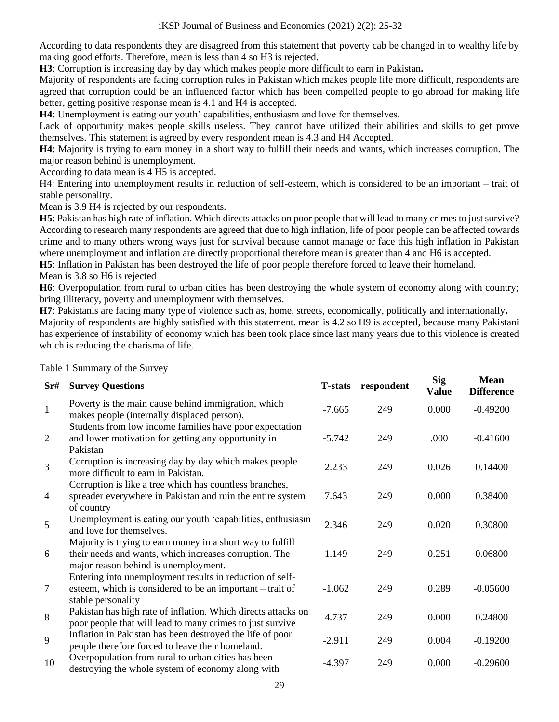According to data respondents they are disagreed from this statement that poverty cab be changed in to wealthy life by making good efforts. Therefore, mean is less than 4 so H3 is rejected.

**H3**: Corruption is increasing day by day which makes people more difficult to earn in Pakistan**.**

Majority of respondents are facing corruption rules in Pakistan which makes people life more difficult, respondents are agreed that corruption could be an influenced factor which has been compelled people to go abroad for making life better, getting positive response mean is 4.1 and H4 is accepted.

**H4**: Unemployment is eating our youth' capabilities, enthusiasm and love for themselves.

Lack of opportunity makes people skills useless. They cannot have utilized their abilities and skills to get prove themselves. This statement is agreed by every respondent mean is 4.3 and H4 Accepted.

**H4**: Majority is trying to earn money in a short way to fulfill their needs and wants, which increases corruption. The major reason behind is unemployment.

According to data mean is 4 H5 is accepted.

H4: Entering into unemployment results in reduction of self-esteem, which is considered to be an important – trait of stable personality.

Mean is 3.9 H4 is rejected by our respondents.

**H5**: Pakistan has high rate of inflation. Which directs attacks on poor people that will lead to many crimes to just survive? According to research many respondents are agreed that due to high inflation, life of poor people can be affected towards crime and to many others wrong ways just for survival because cannot manage or face this high inflation in Pakistan where unemployment and inflation are directly proportional therefore mean is greater than 4 and H6 is accepted.

**H5**: Inflation in Pakistan has been destroyed the life of poor people therefore forced to leave their homeland. Mean is 3.8 so H6 is rejected

**H6**: Overpopulation from rural to urban cities has been destroying the whole system of economy along with country; bring illiteracy, poverty and unemployment with themselves.

**H7**: Pakistanis are facing many type of violence such as, home, streets, economically, politically and internationally**.** Majority of respondents are highly satisfied with this statement. mean is 4.2 so H9 is accepted, because many Pakistani has experience of instability of economy which has been took place since last many years due to this violence is created which is reducing the charisma of life.

| Sr#            | <b>Survey Questions</b>                                                                                                                                      | <b>T-stats</b> | respondent | <b>Sig</b><br><b>Value</b> | <b>Mean</b><br><b>Difference</b> |
|----------------|--------------------------------------------------------------------------------------------------------------------------------------------------------------|----------------|------------|----------------------------|----------------------------------|
| $\mathbf{1}$   | Poverty is the main cause behind immigration, which<br>makes people (internally displaced person).                                                           | $-7.665$       | 249        | 0.000                      | $-0.49200$                       |
| 2              | Students from low income families have poor expectation<br>and lower motivation for getting any opportunity in<br>Pakistan                                   | $-5.742$       | 249        | .000                       | $-0.41600$                       |
| $\overline{3}$ | Corruption is increasing day by day which makes people<br>more difficult to earn in Pakistan.                                                                | 2.233          | 249        | 0.026                      | 0.14400                          |
| $\overline{4}$ | Corruption is like a tree which has countless branches,<br>spreader everywhere in Pakistan and ruin the entire system<br>of country                          | 7.643          | 249        | 0.000                      | 0.38400                          |
| 5              | Unemployment is eating our youth 'capabilities, enthusiasm<br>and love for themselves.                                                                       | 2.346          | 249        | 0.020                      | 0.30800                          |
| 6              | Majority is trying to earn money in a short way to fulfill<br>their needs and wants, which increases corruption. The<br>major reason behind is unemployment. | 1.149          | 249        | 0.251                      | 0.06800                          |
| $\tau$         | Entering into unemployment results in reduction of self-<br>esteem, which is considered to be an important – trait of<br>stable personality                  | $-1.062$       | 249        | 0.289                      | $-0.05600$                       |
| 8              | Pakistan has high rate of inflation. Which directs attacks on<br>poor people that will lead to many crimes to just survive                                   | 4.737          | 249        | 0.000                      | 0.24800                          |
| 9              | Inflation in Pakistan has been destroyed the life of poor<br>people therefore forced to leave their homeland.                                                | $-2.911$       | 249        | 0.004                      | $-0.19200$                       |
| 10             | Overpopulation from rural to urban cities has been<br>destroying the whole system of economy along with                                                      | $-4.397$       | 249        | 0.000                      | $-0.29600$                       |

Table 1 Summary of the Survey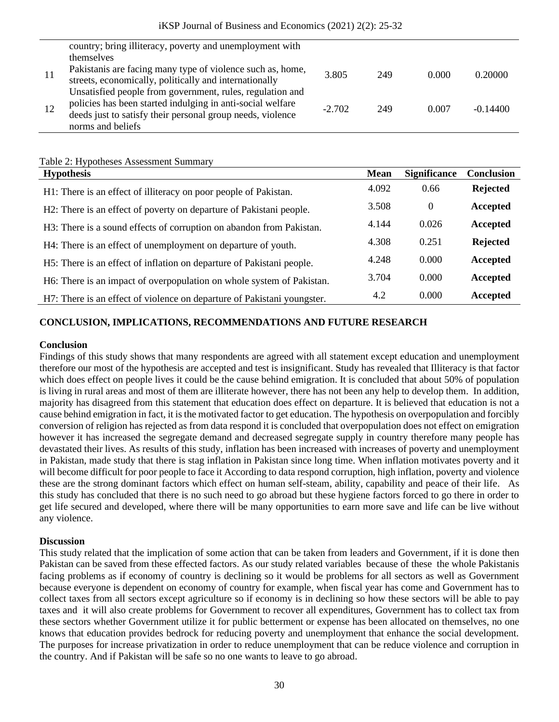|    | country; bring illiteracy, poverty and unemployment with                                                                |          |     |       |            |
|----|-------------------------------------------------------------------------------------------------------------------------|----------|-----|-------|------------|
|    | themselves                                                                                                              |          |     |       |            |
| 11 | Pakistanis are facing many type of violence such as, home,<br>streets, economically, politically and internationally    | 3.805    | 249 | 0.000 | 0.20000    |
| 12 | Unsatisfied people from government, rules, regulation and<br>policies has been started indulging in anti-social welfare | $-2.702$ | 249 | 0.007 | $-0.14400$ |
|    | deeds just to satisfy their personal group needs, violence<br>norms and beliefs                                         |          |     |       |            |

#### Table 2: Hypotheses Assessment Summary

| <b>Hypothesis</b>                                                       |       | <b>Significance</b> | Conclusion      |
|-------------------------------------------------------------------------|-------|---------------------|-----------------|
| H1: There is an effect of illiteracy on poor people of Pakistan.        | 4.092 | 0.66                | <b>Rejected</b> |
| H2: There is an effect of poverty on departure of Pakistani people.     | 3.508 | $\overline{0}$      | Accepted        |
| H3: There is a sound effects of corruption on abandon from Pakistan.    | 4.144 | 0.026               | Accepted        |
| H4: There is an effect of unemployment on departure of youth.           | 4.308 | 0.251               | <b>Rejected</b> |
| H5: There is an effect of inflation on departure of Pakistani people.   | 4.248 | 0.000               | Accepted        |
| H6: There is an impact of overpopulation on whole system of Pakistan.   | 3.704 | 0.000               | Accepted        |
| H7: There is an effect of violence on departure of Pakistani youngster. | 4.2   | 0.000               | Accepted        |

## **CONCLUSION, IMPLICATIONS, RECOMMENDATIONS AND FUTURE RESEARCH**

#### **Conclusion**

Findings of this study shows that many respondents are agreed with all statement except education and unemployment therefore our most of the hypothesis are accepted and test is insignificant. Study has revealed that Illiteracy is that factor which does effect on people lives it could be the cause behind emigration. It is concluded that about 50% of population is living in rural areas and most of them are illiterate however, there has not been any help to develop them. In addition, majority has disagreed from this statement that education does effect on departure. It is believed that education is not a cause behind emigration in fact, it is the motivated factor to get education. The hypothesis on overpopulation and forcibly conversion of religion has rejected as from data respond it is concluded that overpopulation does not effect on emigration however it has increased the segregate demand and decreased segregate supply in country therefore many people has devastated their lives. As results of this study, inflation has been increased with increases of poverty and unemployment in Pakistan, made study that there is stag inflation in Pakistan since long time. When inflation motivates poverty and it will become difficult for poor people to face it According to data respond corruption, high inflation, poverty and violence these are the strong dominant factors which effect on human self-steam, ability, capability and peace of their life. As this study has concluded that there is no such need to go abroad but these hygiene factors forced to go there in order to get life secured and developed, where there will be many opportunities to earn more save and life can be live without any violence.

## **Discussion**

This study related that the implication of some action that can be taken from leaders and Government, if it is done then Pakistan can be saved from these effected factors. As our study related variables because of these the whole Pakistanis facing problems as if economy of country is declining so it would be problems for all sectors as well as Government because everyone is dependent on economy of country for example, when fiscal year has come and Government has to collect taxes from all sectors except agriculture so if economy is in declining so how these sectors will be able to pay taxes and it will also create problems for Government to recover all expenditures, Government has to collect tax from these sectors whether Government utilize it for public betterment or expense has been allocated on themselves, no one knows that education provides bedrock for reducing poverty and unemployment that enhance the social development. The purposes for increase privatization in order to reduce unemployment that can be reduce violence and corruption in the country. And if Pakistan will be safe so no one wants to leave to go abroad.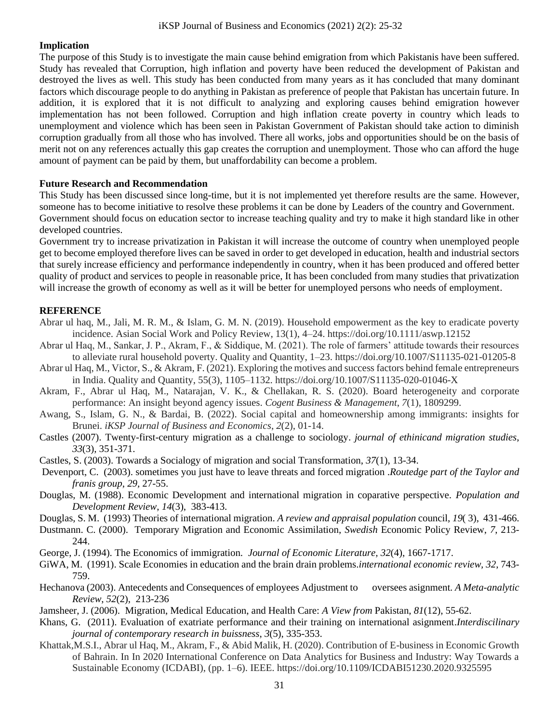## **Implication**

The purpose of this Study is to investigate the main cause behind emigration from which Pakistanis have been suffered. Study has revealed that Corruption, high inflation and poverty have been reduced the development of Pakistan and destroyed the lives as well. This study has been conducted from many years as it has concluded that many dominant factors which discourage people to do anything in Pakistan as preference of people that Pakistan has uncertain future. In addition, it is explored that it is not difficult to analyzing and exploring causes behind emigration however implementation has not been followed. Corruption and high inflation create poverty in country which leads to unemployment and violence which has been seen in Pakistan Government of Pakistan should take action to diminish corruption gradually from all those who has involved. There all works, jobs and opportunities should be on the basis of merit not on any references actually this gap creates the corruption and unemployment. Those who can afford the huge amount of payment can be paid by them, but unaffordability can become a problem.

#### **Future Research and Recommendation**

This Study has been discussed since long-time, but it is not implemented yet therefore results are the same. However, someone has to become initiative to resolve these problems it can be done by Leaders of the country and Government. Government should focus on education sector to increase teaching quality and try to make it high standard like in other developed countries.

Government try to increase privatization in Pakistan it will increase the outcome of country when unemployed people get to become employed therefore lives can be saved in order to get developed in education, health and industrial sectors that surely increase efficiency and performance independently in country, when it has been produced and offered better quality of product and services to people in reasonable price, It has been concluded from many studies that privatization will increase the growth of economy as well as it will be better for unemployed persons who needs of employment.

## **REFERENCE**

- Abrar ul haq, M., Jali, M. R. M., & Islam, G. M. N. (2019). Household empowerment as the key to eradicate poverty incidence. Asian Social Work and Policy Review, 13(1), 4–24. https://doi.org/10.1111/aswp.12152
- Abrar ul Haq, M., Sankar, J. P., Akram, F., & Siddique, M. (2021). The role of farmers' attitude towards their resources to alleviate rural household poverty. Quality and Quantity, 1–23. https://doi.org/10.1007/S11135-021-01205-8
- Abrar ul Haq, M., Victor, S., & Akram, F. (2021). Exploring the motives and success factors behind female entrepreneurs in India. Quality and Quantity, 55(3), 1105–1132. https://doi.org/10.1007/S11135-020-01046-X
- Akram, F., Abrar ul Haq, M., Natarajan, V. K., & Chellakan, R. S. (2020). Board heterogeneity and corporate performance: An insight beyond agency issues. *Cogent Business & Management*, *7*(1), 1809299.
- Awang, S., Islam, G. N., & Bardai, B. (2022). Social capital and homeownership among immigrants: insights for Brunei. *iKSP Journal of Business and Economics*, *2*(2), 01-14.
- Castles (2007). Twenty-first-century migration as a challenge to sociology. *journal of ethinicand migration studies*, *33*(3), 351-371.
- Castles, S. (2003). Towards a Socialogy of migration and social Transformation, *37*(1), 13-34.
- Devenport, C. (2003). sometimes you just have to leave threats and forced migration .*Routedge part of the Taylor and franis group*, *29,* 27-55.
- Douglas, M. (1988). Economic Development and international migration in coparative perspective. *Population and Development Review*, *14*(3), 383-413.
- Douglas, S. M. (1993) Theories of international migration. *A review and appraisal population* council, *19*( 3), 431-466.
- Dustmann. C. (2000). Temporary Migration and Economic Assimilation, *Swedish* Economic Policy Review, *7*, 213- 244.
- George, J. (1994). The Economics of immigration. *Journal of Economic Literature, 32*(4), 1667-1717.
- GiWA, M. (1991). Scale Economies in education and the brain drain problems.*international economic review, 32*, 743- 759.
- Hechanova (2003). Antecedents and Consequences of employees Adjustment to oversees asignment*. A Meta-analytic Review*, *52*(2), 213-236
- Jamsheer, J. (2006). Migration, Medical Education, and Health Care: *A View from* Pakistan, *81*(12), 55-62.
- Khans, G. (2011). Evaluation of exatriate performance and their training on international asignment.*Interdiscilinary journal of contemporary research in buissness*, *3*(5), 335-353.
- Khattak,M.S.I., Abrar ul Haq, M., Akram, F., & Abid Malik, H. (2020). Contribution of E-business in Economic Growth of Bahrain. In In 2020 International Conference on Data Analytics for Business and Industry: Way Towards a Sustainable Economy (ICDABI), (pp. 1–6). IEEE. https://doi.org/10.1109/ICDABI51230.2020.9325595